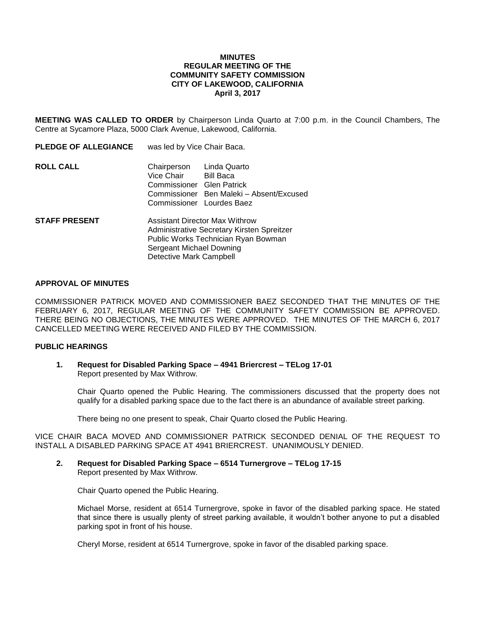#### **MINUTES REGULAR MEETING OF THE COMMUNITY SAFETY COMMISSION CITY OF LAKEWOOD, CALIFORNIA April 3, 2017**

**MEETING WAS CALLED TO ORDER** by Chairperson Linda Quarto at 7:00 p.m. in the Council Chambers, The Centre at Sycamore Plaza, 5000 Clark Avenue, Lakewood, California.

| <b>PLEDGE OF ALLEGIANCE</b> | was led by Vice Chair Baca.                                                                                                                                                |  |
|-----------------------------|----------------------------------------------------------------------------------------------------------------------------------------------------------------------------|--|
| <b>ROLL CALL</b>            | Linda Quarto<br>Chairperson<br>Vice Chair<br>Bill Baca<br>Commissioner Glen Patrick<br>Commissioner Ben Maleki - Absent/Excused<br>Commissioner Lourdes Baez               |  |
| <b>STAFF PRESENT</b>        | Assistant Director Max Withrow<br>Administrative Secretary Kirsten Spreitzer<br>Public Works Technician Ryan Bowman<br>Sergeant Michael Downing<br>Detective Mark Campbell |  |

## **APPROVAL OF MINUTES**

COMMISSIONER PATRICK MOVED AND COMMISSIONER BAEZ SECONDED THAT THE MINUTES OF THE FEBRUARY 6, 2017, REGULAR MEETING OF THE COMMUNITY SAFETY COMMISSION BE APPROVED. THERE BEING NO OBJECTIONS, THE MINUTES WERE APPROVED. THE MINUTES OF THE MARCH 6, 2017 CANCELLED MEETING WERE RECEIVED AND FILED BY THE COMMISSION.

#### **PUBLIC HEARINGS**

#### **1. Request for Disabled Parking Space – 4941 Briercrest – TELog 17-01** Report presented by Max Withrow.

Chair Quarto opened the Public Hearing. The commissioners discussed that the property does not qualify for a disabled parking space due to the fact there is an abundance of available street parking.

There being no one present to speak, Chair Quarto closed the Public Hearing.

VICE CHAIR BACA MOVED AND COMMISSIONER PATRICK SECONDED DENIAL OF THE REQUEST TO INSTALL A DISABLED PARKING SPACE AT 4941 BRIERCREST. UNANIMOUSLY DENIED.

### **2. Request for Disabled Parking Space – 6514 Turnergrove – TELog 17-15** Report presented by Max Withrow.

Chair Quarto opened the Public Hearing.

Michael Morse, resident at 6514 Turnergrove, spoke in favor of the disabled parking space. He stated that since there is usually plenty of street parking available, it wouldn't bother anyone to put a disabled parking spot in front of his house.

Cheryl Morse, resident at 6514 Turnergrove, spoke in favor of the disabled parking space.